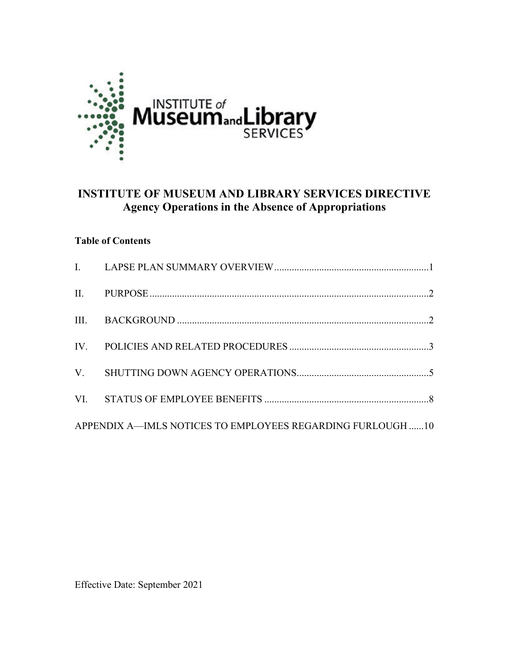

# **INSTITUTE OF MUSEUM AND LIBRARY SERVICES DIRECTIVE Agency Operations in the Absence of Appropriations**

### **Table of Contents**

| APPENDIX A-IMLS NOTICES TO EMPLOYEES REGARDING FURLOUGH 10 |  |  |  |
|------------------------------------------------------------|--|--|--|

Effective Date: September 2021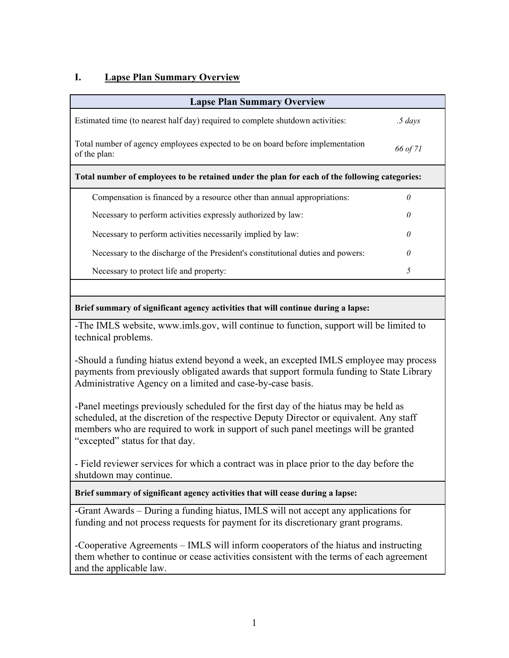## <span id="page-1-0"></span>**I. Lapse Plan Summary Overview**

| <b>Lapse Plan Summary Overview</b>                                                             |              |  |  |  |
|------------------------------------------------------------------------------------------------|--------------|--|--|--|
| Estimated time (to nearest half day) required to complete shutdown activities:                 | $.5 \; days$ |  |  |  |
| Total number of agency employees expected to be on board before implementation<br>of the plan: | 66 of 71     |  |  |  |
| Total number of employees to be retained under the plan for each of the following categories:  |              |  |  |  |
| Compensation is financed by a resource other than annual appropriations:                       |              |  |  |  |
| Necessary to perform activities expressly authorized by law:                                   | O            |  |  |  |
| Necessary to perform activities necessarily implied by law:                                    | N            |  |  |  |
| Necessary to the discharge of the President's constitutional duties and powers:                | $\theta$     |  |  |  |
| Necessary to protect life and property:                                                        | 5            |  |  |  |

#### **Brief summary of significant agency activities that will continue during a lapse:**

-The IMLS website, www.imls.gov, will continue to function, support will be limited to technical problems.

-Should a funding hiatus extend beyond a week, an excepted IMLS employee may process payments from previously obligated awards that support formula funding to State Library Administrative Agency on a limited and case-by-case basis.

-Panel meetings previously scheduled for the first day of the hiatus may be held as scheduled, at the discretion of the respective Deputy Director or equivalent. Any staff members who are required to work in support of such panel meetings will be granted "excepted" status for that day.

- Field reviewer services for which a contract was in place prior to the day before the shutdown may continue.

**Brief summary of significant agency activities that will cease during a lapse:**

-Grant Awards – During a funding hiatus, IMLS will not accept any applications for funding and not process requests for payment for its discretionary grant programs.

-Cooperative Agreements – IMLS will inform cooperators of the hiatus and instructing them whether to continue or cease activities consistent with the terms of each agreement and the applicable law.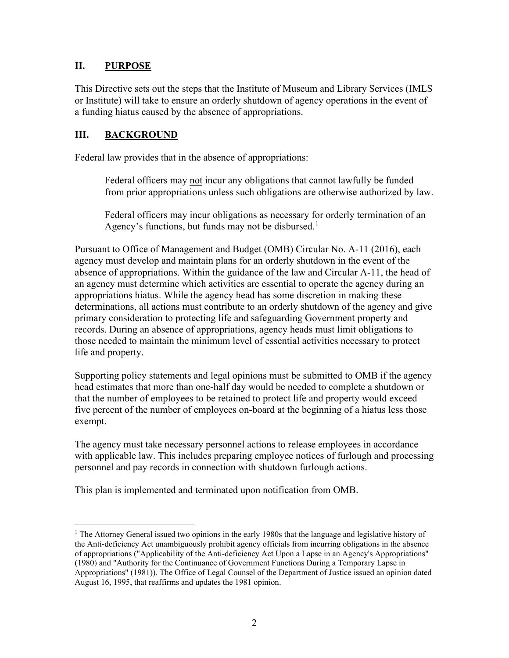### <span id="page-2-0"></span>**II. PURPOSE**

This Directive sets out the steps that the Institute of Museum and Library Services (IMLS or Institute) will take to ensure an orderly shutdown of agency operations in the event of a funding hiatus caused by the absence of appropriations.

### <span id="page-2-1"></span>**III. BACKGROUND**

Federal law provides that in the absence of appropriations:

Federal officers may not incur any obligations that cannot lawfully be funded from prior appropriations unless such obligations are otherwise authorized by law.

Federal officers may incur obligations as necessary for orderly termination of an Agency's functions, but funds may not be disbursed.<sup>[1](#page-2-2)</sup>

Pursuant to Office of Management and Budget (OMB) Circular No. A-11 (2016), each agency must develop and maintain plans for an orderly shutdown in the event of the absence of appropriations. Within the guidance of the law and Circular A-11, the head of an agency must determine which activities are essential to operate the agency during an appropriations hiatus. While the agency head has some discretion in making these determinations, all actions must contribute to an orderly shutdown of the agency and give primary consideration to protecting life and safeguarding Government property and records. During an absence of appropriations, agency heads must limit obligations to those needed to maintain the minimum level of essential activities necessary to protect life and property.

Supporting policy statements and legal opinions must be submitted to OMB if the agency head estimates that more than one-half day would be needed to complete a shutdown or that the number of employees to be retained to protect life and property would exceed five percent of the number of employees on-board at the beginning of a hiatus less those exempt.

The agency must take necessary personnel actions to release employees in accordance with applicable law. This includes preparing employee notices of furlough and processing personnel and pay records in connection with shutdown furlough actions.

This plan is implemented and terminated upon notification from OMB.

<span id="page-2-2"></span><sup>&</sup>lt;sup>1</sup> The Attorney General issued two opinions in the early 1980s that the language and legislative history of the Anti-deficiency Act unambiguously prohibit agency officials from incurring obligations in the absence of appropriations ("Applicability of the Anti-deficiency Act Upon a Lapse in an Agency's Appropriations" (1980) and "Authority for the Continuance of Government Functions During a Temporary Lapse in Appropriations" (1981)). The Office of Legal Counsel of the Department of Justice issued an opinion dated August 16, 1995, that reaffirms and updates the 1981 opinion.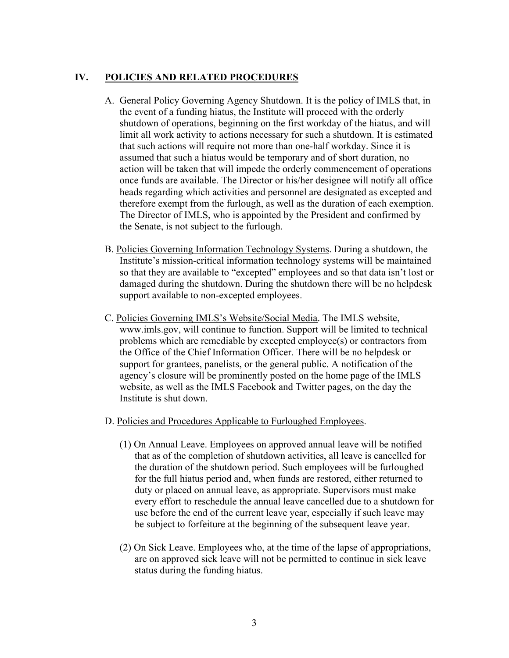### <span id="page-3-0"></span>**IV. POLICIES AND RELATED PROCEDURES**

- A. General Policy Governing Agency Shutdown. It is the policy of IMLS that, in the event of a funding hiatus, the Institute will proceed with the orderly shutdown of operations, beginning on the first workday of the hiatus, and will limit all work activity to actions necessary for such a shutdown. It is estimated that such actions will require not more than one-half workday. Since it is assumed that such a hiatus would be temporary and of short duration, no action will be taken that will impede the orderly commencement of operations once funds are available. The Director or his/her designee will notify all office heads regarding which activities and personnel are designated as excepted and therefore exempt from the furlough, as well as the duration of each exemption. The Director of IMLS, who is appointed by the President and confirmed by the Senate, is not subject to the furlough.
- B. Policies Governing Information Technology Systems. During a shutdown, the Institute's mission-critical information technology systems will be maintained so that they are available to "excepted" employees and so that data isn't lost or damaged during the shutdown. During the shutdown there will be no helpdesk support available to non-excepted employees.
- C. Policies Governing IMLS's Website/Social Media. The IMLS website, www.imls.gov, will continue to function. Support will be limited to technical problems which are remediable by excepted employee(s) or contractors from the Office of the Chief Information Officer. There will be no helpdesk or support for grantees, panelists, or the general public. A notification of the agency's closure will be prominently posted on the home page of the IMLS website, as well as the IMLS Facebook and Twitter pages, on the day the Institute is shut down.
- D. Policies and Procedures Applicable to Furloughed Employees.
	- (1) On Annual Leave. Employees on approved annual leave will be notified that as of the completion of shutdown activities, all leave is cancelled for the duration of the shutdown period. Such employees will be furloughed for the full hiatus period and, when funds are restored, either returned to duty or placed on annual leave, as appropriate. Supervisors must make every effort to reschedule the annual leave cancelled due to a shutdown for use before the end of the current leave year, especially if such leave may be subject to forfeiture at the beginning of the subsequent leave year.
	- (2) On Sick Leave. Employees who, at the time of the lapse of appropriations, are on approved sick leave will not be permitted to continue in sick leave status during the funding hiatus.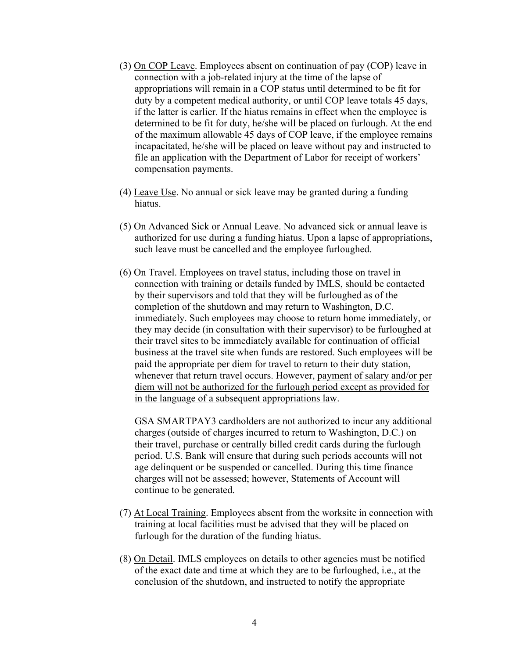- (3) On COP Leave. Employees absent on continuation of pay (COP) leave in connection with a job-related injury at the time of the lapse of appropriations will remain in a COP status until determined to be fit for duty by a competent medical authority, or until COP leave totals 45 days, if the latter is earlier. If the hiatus remains in effect when the employee is determined to be fit for duty, he/she will be placed on furlough. At the end of the maximum allowable 45 days of COP leave, if the employee remains incapacitated, he/she will be placed on leave without pay and instructed to file an application with the Department of Labor for receipt of workers' compensation payments.
- (4) Leave Use. No annual or sick leave may be granted during a funding hiatus.
- (5) On Advanced Sick or Annual Leave. No advanced sick or annual leave is authorized for use during a funding hiatus. Upon a lapse of appropriations, such leave must be cancelled and the employee furloughed.
- (6) On Travel. Employees on travel status, including those on travel in connection with training or details funded by IMLS, should be contacted by their supervisors and told that they will be furloughed as of the completion of the shutdown and may return to Washington, D.C. immediately. Such employees may choose to return home immediately, or they may decide (in consultation with their supervisor) to be furloughed at their travel sites to be immediately available for continuation of official business at the travel site when funds are restored. Such employees will be paid the appropriate per diem for travel to return to their duty station, whenever that return travel occurs. However, payment of salary and/or per diem will not be authorized for the furlough period except as provided for in the language of a subsequent appropriations law.

GSA SMARTPAY3 cardholders are not authorized to incur any additional charges (outside of charges incurred to return to Washington, D.C.) on their travel, purchase or centrally billed credit cards during the furlough period. U.S. Bank will ensure that during such periods accounts will not age delinquent or be suspended or cancelled. During this time finance charges will not be assessed; however, Statements of Account will continue to be generated.

- (7) At Local Training. Employees absent from the worksite in connection with training at local facilities must be advised that they will be placed on furlough for the duration of the funding hiatus.
- (8) On Detail. IMLS employees on details to other agencies must be notified of the exact date and time at which they are to be furloughed, i.e., at the conclusion of the shutdown, and instructed to notify the appropriate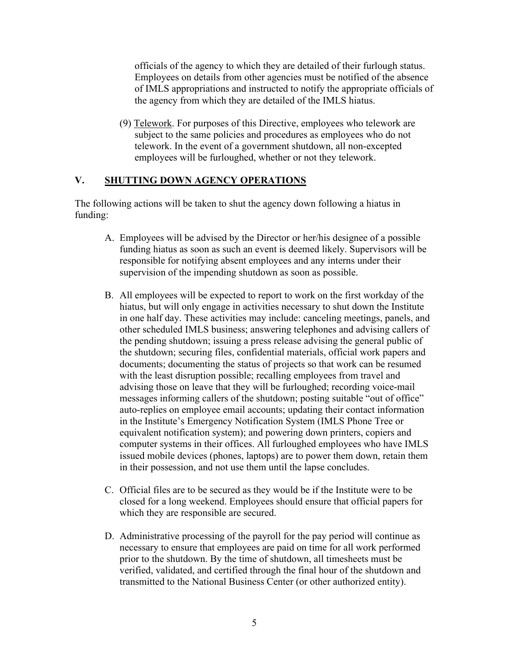officials of the agency to which they are detailed of their furlough status. Employees on details from other agencies must be notified of the absence of IMLS appropriations and instructed to notify the appropriate officials of the agency from which they are detailed of the IMLS hiatus.

(9) Telework. For purposes of this Directive, employees who telework are subject to the same policies and procedures as employees who do not telework. In the event of a government shutdown, all non-excepted employees will be furloughed, whether or not they telework.

#### <span id="page-5-0"></span>**V. SHUTTING DOWN AGENCY OPERATIONS**

The following actions will be taken to shut the agency down following a hiatus in funding:

- A. Employees will be advised by the Director or her/his designee of a possible funding hiatus as soon as such an event is deemed likely. Supervisors will be responsible for notifying absent employees and any interns under their supervision of the impending shutdown as soon as possible.
- B. All employees will be expected to report to work on the first workday of the hiatus, but will only engage in activities necessary to shut down the Institute in one half day. These activities may include: canceling meetings, panels, and other scheduled IMLS business; answering telephones and advising callers of the pending shutdown; issuing a press release advising the general public of the shutdown; securing files, confidential materials, official work papers and documents; documenting the status of projects so that work can be resumed with the least disruption possible; recalling employees from travel and advising those on leave that they will be furloughed; recording voice-mail messages informing callers of the shutdown; posting suitable "out of office" auto-replies on employee email accounts; updating their contact information in the Institute's Emergency Notification System (IMLS Phone Tree or equivalent notification system); and powering down printers, copiers and computer systems in their offices. All furloughed employees who have IMLS issued mobile devices (phones, laptops) are to power them down, retain them in their possession, and not use them until the lapse concludes.
- C. Official files are to be secured as they would be if the Institute were to be closed for a long weekend. Employees should ensure that official papers for which they are responsible are secured.
- D. Administrative processing of the payroll for the pay period will continue as necessary to ensure that employees are paid on time for all work performed prior to the shutdown. By the time of shutdown, all timesheets must be verified, validated, and certified through the final hour of the shutdown and transmitted to the National Business Center (or other authorized entity).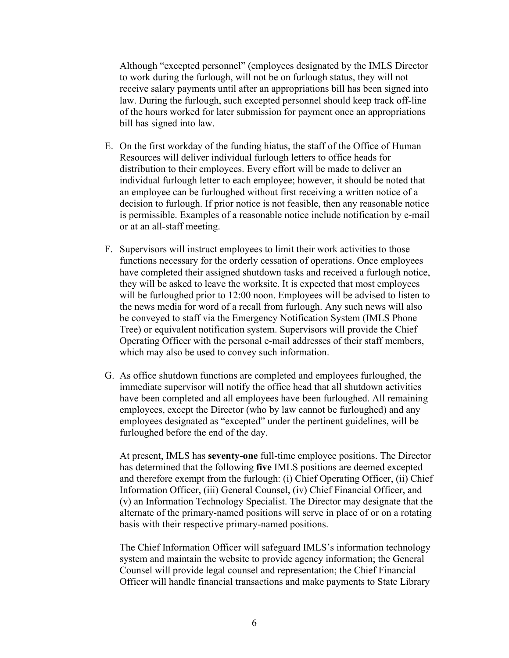Although "excepted personnel" (employees designated by the IMLS Director to work during the furlough, will not be on furlough status, they will not receive salary payments until after an appropriations bill has been signed into law. During the furlough, such excepted personnel should keep track off-line of the hours worked for later submission for payment once an appropriations bill has signed into law.

- E. On the first workday of the funding hiatus, the staff of the Office of Human Resources will deliver individual furlough letters to office heads for distribution to their employees. Every effort will be made to deliver an individual furlough letter to each employee; however, it should be noted that an employee can be furloughed without first receiving a written notice of a decision to furlough. If prior notice is not feasible, then any reasonable notice is permissible. Examples of a reasonable notice include notification by e-mail or at an all-staff meeting.
- F. Supervisors will instruct employees to limit their work activities to those functions necessary for the orderly cessation of operations. Once employees have completed their assigned shutdown tasks and received a furlough notice, they will be asked to leave the worksite. It is expected that most employees will be furloughed prior to 12:00 noon. Employees will be advised to listen to the news media for word of a recall from furlough. Any such news will also be conveyed to staff via the Emergency Notification System (IMLS Phone Tree) or equivalent notification system. Supervisors will provide the Chief Operating Officer with the personal e-mail addresses of their staff members, which may also be used to convey such information.
- G. As office shutdown functions are completed and employees furloughed, the immediate supervisor will notify the office head that all shutdown activities have been completed and all employees have been furloughed. All remaining employees, except the Director (who by law cannot be furloughed) and any employees designated as "excepted" under the pertinent guidelines, will be furloughed before the end of the day.

At present, IMLS has **seventy-one** full-time employee positions. The Director has determined that the following **five** IMLS positions are deemed excepted and therefore exempt from the furlough: (i) Chief Operating Officer, (ii) Chief Information Officer, (iii) General Counsel, (iv) Chief Financial Officer, and (v) an Information Technology Specialist. The Director may designate that the alternate of the primary-named positions will serve in place of or on a rotating basis with their respective primary-named positions.

The Chief Information Officer will safeguard IMLS's information technology system and maintain the website to provide agency information; the General Counsel will provide legal counsel and representation; the Chief Financial Officer will handle financial transactions and make payments to State Library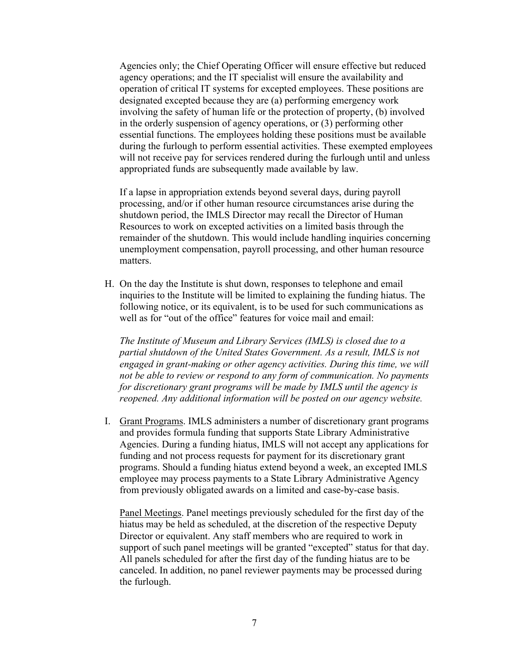Agencies only; the Chief Operating Officer will ensure effective but reduced agency operations; and the IT specialist will ensure the availability and operation of critical IT systems for excepted employees. These positions are designated excepted because they are (a) performing emergency work involving the safety of human life or the protection of property, (b) involved in the orderly suspension of agency operations, or (3) performing other essential functions. The employees holding these positions must be available during the furlough to perform essential activities. These exempted employees will not receive pay for services rendered during the furlough until and unless appropriated funds are subsequently made available by law.

If a lapse in appropriation extends beyond several days, during payroll processing, and/or if other human resource circumstances arise during the shutdown period, the IMLS Director may recall the Director of Human Resources to work on excepted activities on a limited basis through the remainder of the shutdown. This would include handling inquiries concerning unemployment compensation, payroll processing, and other human resource matters.

H. On the day the Institute is shut down, responses to telephone and email inquiries to the Institute will be limited to explaining the funding hiatus. The following notice, or its equivalent, is to be used for such communications as well as for "out of the office" features for voice mail and email:

*The Institute of Museum and Library Services (IMLS) is closed due to a partial shutdown of the United States Government. As a result, IMLS is not engaged in grant-making or other agency activities. During this time, we will not be able to review or respond to any form of communication. No payments for discretionary grant programs will be made by IMLS until the agency is reopened. Any additional information will be posted on our agency website.*

I. Grant Programs. IMLS administers a number of discretionary grant programs and provides formula funding that supports State Library Administrative Agencies. During a funding hiatus, IMLS will not accept any applications for funding and not process requests for payment for its discretionary grant programs. Should a funding hiatus extend beyond a week, an excepted IMLS employee may process payments to a State Library Administrative Agency from previously obligated awards on a limited and case-by-case basis.

Panel Meetings. Panel meetings previously scheduled for the first day of the hiatus may be held as scheduled, at the discretion of the respective Deputy Director or equivalent. Any staff members who are required to work in support of such panel meetings will be granted "excepted" status for that day. All panels scheduled for after the first day of the funding hiatus are to be canceled. In addition, no panel reviewer payments may be processed during the furlough.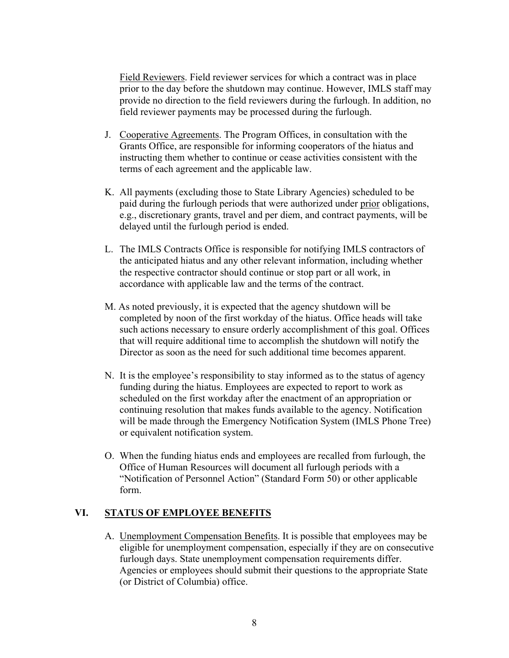Field Reviewers. Field reviewer services for which a contract was in place prior to the day before the shutdown may continue. However, IMLS staff may provide no direction to the field reviewers during the furlough. In addition, no field reviewer payments may be processed during the furlough.

- J. Cooperative Agreements. The Program Offices, in consultation with the Grants Office, are responsible for informing cooperators of the hiatus and instructing them whether to continue or cease activities consistent with the terms of each agreement and the applicable law.
- K. All payments (excluding those to State Library Agencies) scheduled to be paid during the furlough periods that were authorized under prior obligations, e.g., discretionary grants, travel and per diem, and contract payments, will be delayed until the furlough period is ended.
- L. The IMLS Contracts Office is responsible for notifying IMLS contractors of the anticipated hiatus and any other relevant information, including whether the respective contractor should continue or stop part or all work, in accordance with applicable law and the terms of the contract.
- M. As noted previously, it is expected that the agency shutdown will be completed by noon of the first workday of the hiatus. Office heads will take such actions necessary to ensure orderly accomplishment of this goal. Offices that will require additional time to accomplish the shutdown will notify the Director as soon as the need for such additional time becomes apparent.
- N. It is the employee's responsibility to stay informed as to the status of agency funding during the hiatus. Employees are expected to report to work as scheduled on the first workday after the enactment of an appropriation or continuing resolution that makes funds available to the agency. Notification will be made through the Emergency Notification System (IMLS Phone Tree) or equivalent notification system.
- O. When the funding hiatus ends and employees are recalled from furlough, the Office of Human Resources will document all furlough periods with a "Notification of Personnel Action" (Standard Form 50) or other applicable form.

## <span id="page-8-0"></span>**VI. STATUS OF EMPLOYEE BENEFITS**

A. Unemployment Compensation Benefits. It is possible that employees may be eligible for unemployment compensation, especially if they are on consecutive furlough days. State unemployment compensation requirements differ. Agencies or employees should submit their questions to the appropriate State (or District of Columbia) office.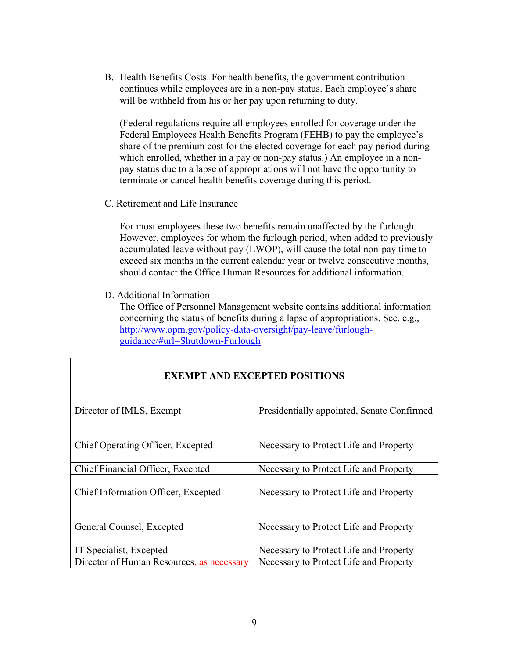B. Health Benefits Costs. For health benefits, the government contribution continues while employees are in a non-pay status. Each employee's share will be withheld from his or her pay upon returning to duty.

(Federal regulations require all employees enrolled for coverage under the Federal Employees Health Benefits Program (FEHB) to pay the employee's share of the premium cost for the elected coverage for each pay period during which enrolled, whether in a pay or non-pay status.) An employee in a nonpay status due to a lapse of appropriations will not have the opportunity to terminate or cancel health benefits coverage during this period.

#### C. Retirement and Life Insurance

For most employees these two benefits remain unaffected by the furlough. However, employees for whom the furlough period, when added to previously accumulated leave without pay (LWOP), will cause the total non-pay time to exceed six months in the current calendar year or twelve consecutive months, should contact the Office Human Resources for additional information.

D. Additional Information

The Office of Personnel Management website contains additional information concerning the status of benefits during a lapse of appropriations. See, e.g., [http://www.opm.gov/policy-data-oversight/pay-leave/furlough](http://www.opm.gov/policy-data-oversight/pay-leave/furlough-guidance/#url=Shutdown-Furlough)[guidance/#url=Shutdown-Furlough](http://www.opm.gov/policy-data-oversight/pay-leave/furlough-guidance/#url=Shutdown-Furlough)

| <b>EXEMPT AND EXCEPTED POSITIONS</b>      |                                            |  |  |
|-------------------------------------------|--------------------------------------------|--|--|
| Director of IMLS, Exempt                  | Presidentially appointed, Senate Confirmed |  |  |
| Chief Operating Officer, Excepted         | Necessary to Protect Life and Property     |  |  |
| Chief Financial Officer, Excepted         | Necessary to Protect Life and Property     |  |  |
| Chief Information Officer, Excepted       | Necessary to Protect Life and Property     |  |  |
| General Counsel, Excepted                 | Necessary to Protect Life and Property     |  |  |
| IT Specialist, Excepted                   | Necessary to Protect Life and Property     |  |  |
| Director of Human Resources, as necessary | Necessary to Protect Life and Property     |  |  |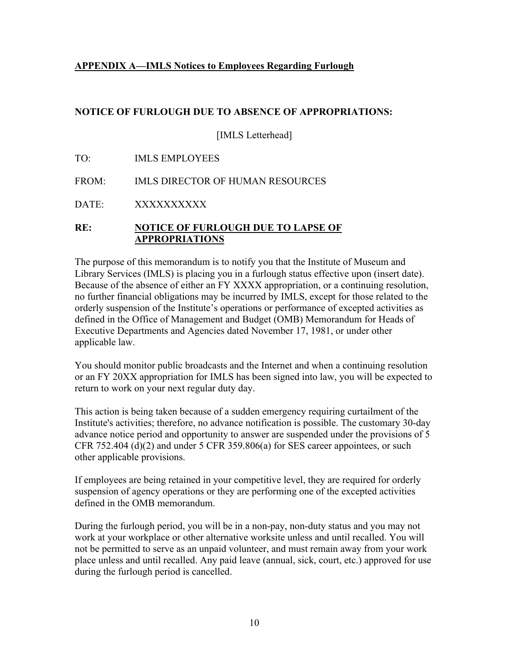### <span id="page-10-0"></span>**APPENDIX A—IMLS Notices to Employees Regarding Furlough**

### **NOTICE OF FURLOUGH DUE TO ABSENCE OF APPROPRIATIONS:**

[IMLS Letterhead]

TO: IMLS EMPLOYEES

FROM: IMLS DIRECTOR OF HUMAN RESOURCES

DATE: XXXXXXXXXX

### **RE: NOTICE OF FURLOUGH DUE TO LAPSE OF APPROPRIATIONS**

The purpose of this memorandum is to notify you that the Institute of Museum and Library Services (IMLS) is placing you in a furlough status effective upon (insert date). Because of the absence of either an FY XXXX appropriation, or a continuing resolution, no further financial obligations may be incurred by IMLS, except for those related to the orderly suspension of the Institute's operations or performance of excepted activities as defined in the Office of Management and Budget (OMB) Memorandum for Heads of Executive Departments and Agencies dated November 17, 1981, or under other applicable law.

You should monitor public broadcasts and the Internet and when a continuing resolution or an FY 20XX appropriation for IMLS has been signed into law, you will be expected to return to work on your next regular duty day.

This action is being taken because of a sudden emergency requiring curtailment of the Institute's activities; therefore, no advance notification is possible. The customary 30-day advance notice period and opportunity to answer are suspended under the provisions of 5 CFR 752.404 (d) $(2)$  and under 5 CFR 359.806 $(a)$  for SES career appointees, or such other applicable provisions.

If employees are being retained in your competitive level, they are required for orderly suspension of agency operations or they are performing one of the excepted activities defined in the OMB memorandum.

During the furlough period, you will be in a non-pay, non-duty status and you may not work at your workplace or other alternative worksite unless and until recalled. You will not be permitted to serve as an unpaid volunteer, and must remain away from your work place unless and until recalled. Any paid leave (annual, sick, court, etc.) approved for use during the furlough period is cancelled.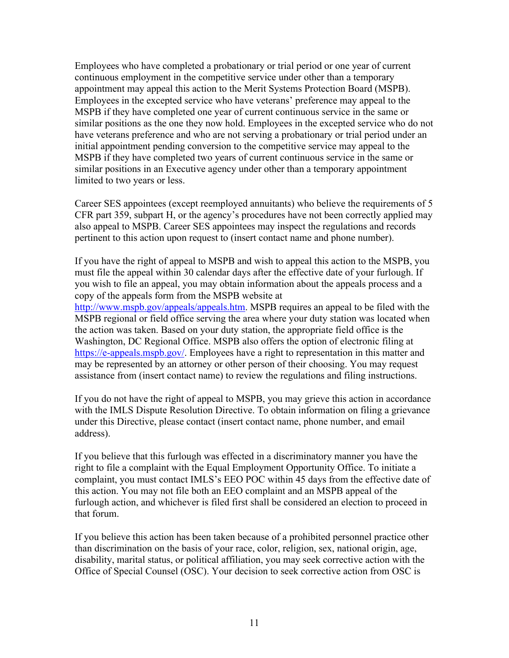Employees who have completed a probationary or trial period or one year of current continuous employment in the competitive service under other than a temporary appointment may appeal this action to the Merit Systems Protection Board (MSPB). Employees in the excepted service who have veterans' preference may appeal to the MSPB if they have completed one year of current continuous service in the same or similar positions as the one they now hold. Employees in the excepted service who do not have veterans preference and who are not serving a probationary or trial period under an initial appointment pending conversion to the competitive service may appeal to the MSPB if they have completed two years of current continuous service in the same or similar positions in an Executive agency under other than a temporary appointment limited to two years or less.

Career SES appointees (except reemployed annuitants) who believe the requirements of 5 CFR part 359, subpart H, or the agency's procedures have not been correctly applied may also appeal to MSPB. Career SES appointees may inspect the regulations and records pertinent to this action upon request to (insert contact name and phone number).

If you have the right of appeal to MSPB and wish to appeal this action to the MSPB, you must file the appeal within 30 calendar days after the effective date of your furlough. If you wish to file an appeal, you may obtain information about the appeals process and a copy of the appeals form from the MSPB website at

[http://www.mspb.gov/appeals/appeals.htm.](http://www.mspb.gov/appeals/appeals.htm) MSPB requires an appeal to be filed with the MSPB regional or field office serving the area where your duty station was located when the action was taken. Based on your duty station, the appropriate field office is the Washington, DC Regional Office. MSPB also offers the option of electronic filing at [https://e-appeals.mspb.gov/.](https://e-appeals.mspb.gov/) Employees have a right to representation in this matter and may be represented by an attorney or other person of their choosing. You may request assistance from (insert contact name) to review the regulations and filing instructions.

If you do not have the right of appeal to MSPB, you may grieve this action in accordance with the IMLS Dispute Resolution Directive. To obtain information on filing a grievance under this Directive, please contact (insert contact name, phone number, and email address).

If you believe that this furlough was effected in a discriminatory manner you have the right to file a complaint with the Equal Employment Opportunity Office. To initiate a complaint, you must contact IMLS's EEO POC within 45 days from the effective date of this action. You may not file both an EEO complaint and an MSPB appeal of the furlough action, and whichever is filed first shall be considered an election to proceed in that forum.

If you believe this action has been taken because of a prohibited personnel practice other than discrimination on the basis of your race, color, religion, sex, national origin, age, disability, marital status, or political affiliation, you may seek corrective action with the Office of Special Counsel (OSC). Your decision to seek corrective action from OSC is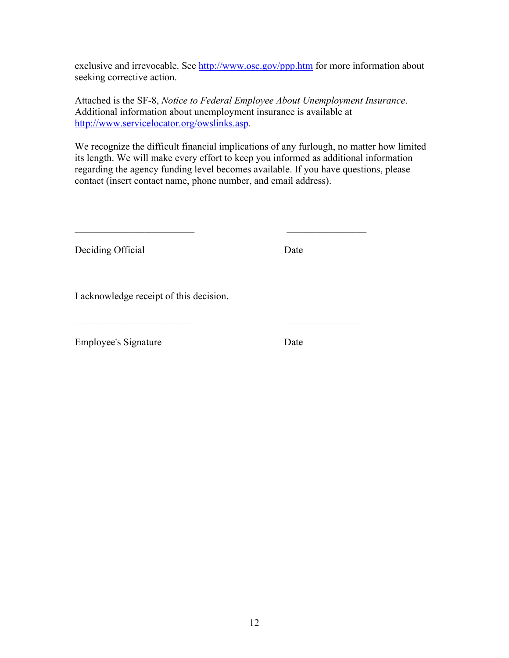exclusive and irrevocable. See<http://www.osc.gov/ppp.htm> for more information about seeking corrective action.

Attached is the SF-8, *Notice to Federal Employee About Unemployment Insurance*. Additional information about unemployment insurance is available at [http://www.servicelocator.org/owslinks.asp.](http://www.servicelocator.org/owslinks.asp)

We recognize the difficult financial implications of any furlough, no matter how limited its length. We will make every effort to keep you informed as additional information regarding the agency funding level becomes available. If you have questions, please contact (insert contact name, phone number, and email address).

 $\overline{\phantom{a}}$  , and the contract of the contract of the contract of the contract of the contract of the contract of the contract of the contract of the contract of the contract of the contract of the contract of the contrac

Deciding Official Date

I acknowledge receipt of this decision.

Employee's Signature Date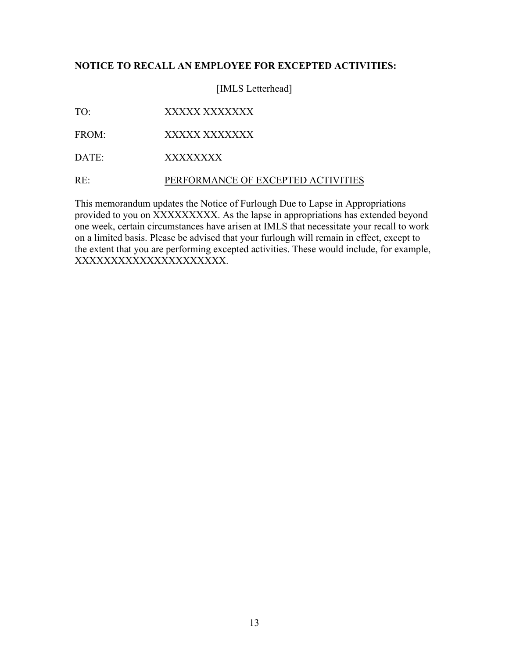### **NOTICE TO RECALL AN EMPLOYEE FOR EXCEPTED ACTIVITIES:**

[IMLS Letterhead]

- TO: XXXXXXXXXXXX
- FROM: XXXXX XXXXXXX
- DATE: XXXXXXXX

RE: PERFORMANCE OF EXCEPTED ACTIVITIES

This memorandum updates the Notice of Furlough Due to Lapse in Appropriations provided to you on XXXXXXXXX. As the lapse in appropriations has extended beyond one week, certain circumstances have arisen at IMLS that necessitate your recall to work on a limited basis. Please be advised that your furlough will remain in effect, except to the extent that you are performing excepted activities. These would include, for example, XXXXXXXXXXXXXXXXXXXXX.